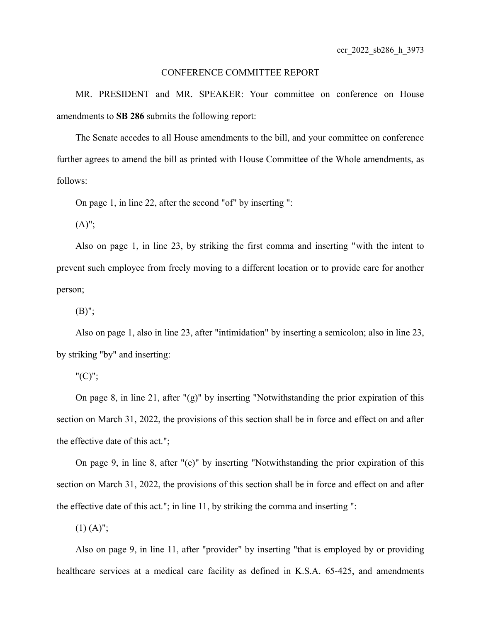## CONFERENCE COMMITTEE REPORT

MR. PRESIDENT and MR. SPEAKER: Your committee on conference on House amendments to **SB 286** submits the following report:

The Senate accedes to all House amendments to the bill, and your committee on conference further agrees to amend the bill as printed with House Committee of the Whole amendments, as follows:

On page 1, in line 22, after the second "of" by inserting ":

 $(A)$ ";

Also on page 1, in line 23, by striking the first comma and inserting "with the intent to prevent such employee from freely moving to a different location or to provide care for another person;

 $(B)$ ";

Also on page 1, also in line 23, after "intimidation" by inserting a semicolon; also in line 23, by striking "by" and inserting:

 $"({\rm C})"$ ;

On page 8, in line 21, after "(g)" by inserting "Notwithstanding the prior expiration of this section on March 31, 2022, the provisions of this section shall be in force and effect on and after the effective date of this act.";

On page 9, in line 8, after "(e)" by inserting "Notwithstanding the prior expiration of this section on March 31, 2022, the provisions of this section shall be in force and effect on and after the effective date of this act."; in line 11, by striking the comma and inserting ":

 $(1)$   $(A)$ ";

Also on page 9, in line 11, after "provider" by inserting "that is employed by or providing healthcare services at a medical care facility as defined in K.S.A. 65-425, and amendments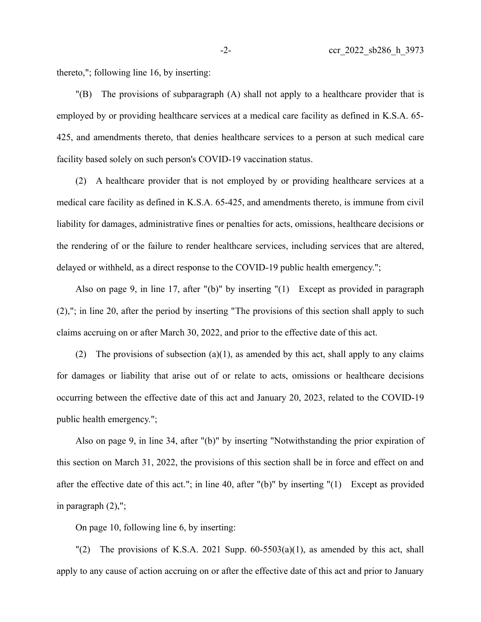thereto,"; following line 16, by inserting:

"(B) The provisions of subparagraph (A) shall not apply to a healthcare provider that is employed by or providing healthcare services at a medical care facility as defined in K.S.A. 65- 425, and amendments thereto, that denies healthcare services to a person at such medical care facility based solely on such person's COVID-19 vaccination status.

(2) A healthcare provider that is not employed by or providing healthcare services at a medical care facility as defined in K.S.A. 65-425, and amendments thereto, is immune from civil liability for damages, administrative fines or penalties for acts, omissions, healthcare decisions or the rendering of or the failure to render healthcare services, including services that are altered, delayed or withheld, as a direct response to the COVID-19 public health emergency.";

Also on page 9, in line 17, after "(b)" by inserting "(1) Except as provided in paragraph (2),"; in line 20, after the period by inserting "The provisions of this section shall apply to such claims accruing on or after March 30, 2022, and prior to the effective date of this act.

(2) The provisions of subsection  $(a)(1)$ , as amended by this act, shall apply to any claims for damages or liability that arise out of or relate to acts, omissions or healthcare decisions occurring between the effective date of this act and January 20, 2023, related to the COVID-19 public health emergency.";

Also on page 9, in line 34, after "(b)" by inserting "Notwithstanding the prior expiration of this section on March 31, 2022, the provisions of this section shall be in force and effect on and after the effective date of this act."; in line 40, after "(b)" by inserting "(1) Except as provided in paragraph (2),";

On page 10, following line 6, by inserting:

"(2) The provisions of K.S.A. 2021 Supp.  $60-5503(a)(1)$ , as amended by this act, shall apply to any cause of action accruing on or after the effective date of this act and prior to January